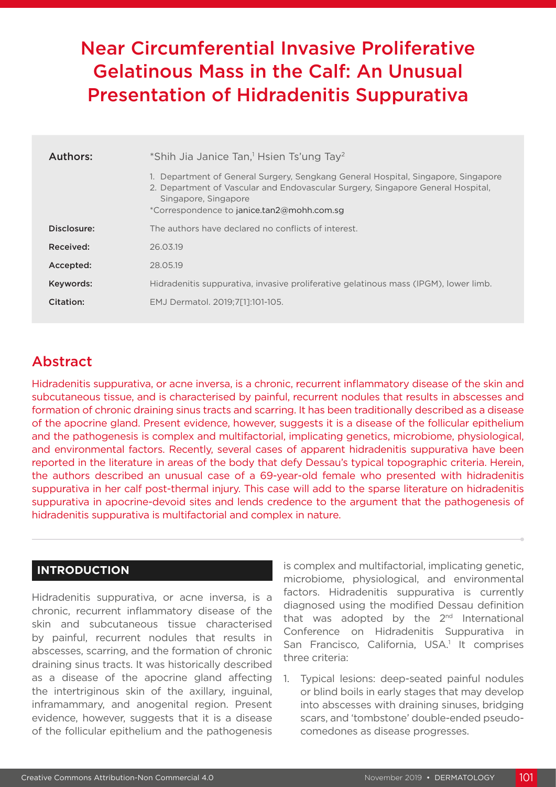# Near Circumferential Invasive Proliferative Gelatinous Mass in the Calf: An Unusual Presentation of Hidradenitis Suppurativa

| Authors:    | *Shih Jia Janice Tan, <sup>1</sup> Hsien Ts'ung Tay <sup>2</sup>                                                                                                                                                                           |
|-------------|--------------------------------------------------------------------------------------------------------------------------------------------------------------------------------------------------------------------------------------------|
|             | 1. Department of General Surgery, Sengkang General Hospital, Singapore, Singapore<br>2. Department of Vascular and Endovascular Surgery, Singapore General Hospital,<br>Singapore, Singapore<br>*Correspondence to janice.tan2@mohh.com.sq |
| Disclosure: | The authors have declared no conflicts of interest.                                                                                                                                                                                        |
| Received:   | 26.03.19                                                                                                                                                                                                                                   |
| Accepted:   | 28.05.19                                                                                                                                                                                                                                   |
| Keywords:   | Hidradenitis suppurativa, invasive proliferative gelatinous mass (IPGM), lower limb.                                                                                                                                                       |
| Citation:   | EMJ Dermatol. 2019;7[1]:101-105.                                                                                                                                                                                                           |

## Abstract

Hidradenitis suppurativa, or acne inversa, is a chronic, recurrent inflammatory disease of the skin and subcutaneous tissue, and is characterised by painful, recurrent nodules that results in abscesses and formation of chronic draining sinus tracts and scarring. It has been traditionally described as a disease of the apocrine gland. Present evidence, however, suggests it is a disease of the follicular epithelium and the pathogenesis is complex and multifactorial, implicating genetics, microbiome, physiological, and environmental factors. Recently, several cases of apparent hidradenitis suppurativa have been reported in the literature in areas of the body that defy Dessau's typical topographic criteria. Herein, the authors described an unusual case of a 69-year-old female who presented with hidradenitis suppurativa in her calf post-thermal injury. This case will add to the sparse literature on hidradenitis suppurativa in apocrine-devoid sites and lends credence to the argument that the pathogenesis of hidradenitis suppurativa is multifactorial and complex in nature.

### **INTRODUCTION**

Hidradenitis suppurativa, or acne inversa, is a chronic, recurrent inflammatory disease of the skin and subcutaneous tissue characterised by painful, recurrent nodules that results in abscesses, scarring, and the formation of chronic draining sinus tracts. It was historically described as a disease of the apocrine gland affecting the intertriginous skin of the axillary, inguinal, inframammary, and anogenital region. Present evidence, however, suggests that it is a disease of the follicular epithelium and the pathogenesis

is complex and multifactorial, implicating genetic, microbiome, physiological, and environmental factors. Hidradenitis suppurativa is currently diagnosed using the modified Dessau definition that was adopted by the  $2<sup>nd</sup>$  International Conference on Hidradenitis Suppurativa in San Francisco, California, USA.<sup>1</sup> It comprises three criteria:

1. Typical lesions: deep-seated painful nodules or blind boils in early stages that may develop into abscesses with draining sinuses, bridging scars, and 'tombstone' double-ended pseudocomedones as disease progresses.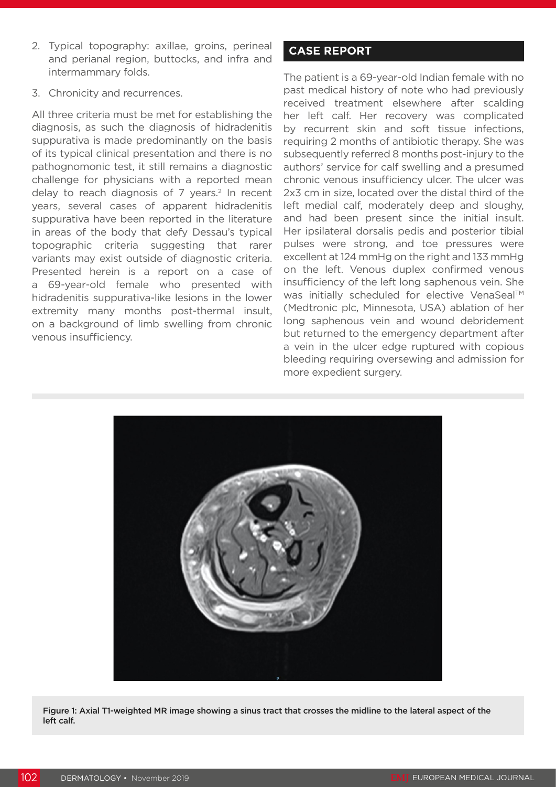- 2. Typical topography: axillae, groins, perineal and perianal region, buttocks, and infra and intermammary folds.
- 3. Chronicity and recurrences.

All three criteria must be met for establishing the diagnosis, as such the diagnosis of hidradenitis suppurativa is made predominantly on the basis of its typical clinical presentation and there is no pathognomonic test, it still remains a diagnostic challenge for physicians with a reported mean delay to reach diagnosis of  $7$  years.<sup>2</sup> In recent years, several cases of apparent hidradenitis suppurativa have been reported in the literature in areas of the body that defy Dessau's typical topographic criteria suggesting that rarer variants may exist outside of diagnostic criteria. Presented herein is a report on a case of a 69-year-old female who presented with hidradenitis suppurativa-like lesions in the lower extremity many months post-thermal insult, on a background of limb swelling from chronic venous insufficiency.

### **CASE REPORT**

The patient is a 69-year-old Indian female with no past medical history of note who had previously received treatment elsewhere after scalding her left calf. Her recovery was complicated by recurrent skin and soft tissue infections, requiring 2 months of antibiotic therapy. She was subsequently referred 8 months post-injury to the authors' service for calf swelling and a presumed chronic venous insufficiency ulcer. The ulcer was 2x3 cm in size, located over the distal third of the left medial calf, moderately deep and sloughy, and had been present since the initial insult. Her ipsilateral dorsalis pedis and posterior tibial pulses were strong, and toe pressures were excellent at 124 mmHg on the right and 133 mmHg on the left. Venous duplex confirmed venous insufficiency of the left long saphenous vein. She was initially scheduled for elective VenaSeal™ (Medtronic plc, Minnesota, USA) ablation of her long saphenous vein and wound debridement but returned to the emergency department after a vein in the ulcer edge ruptured with copious bleeding requiring oversewing and admission for more expedient surgery.



Figure 1: Axial T1-weighted MR image showing a sinus tract that crosses the midline to the lateral aspect of the left calf.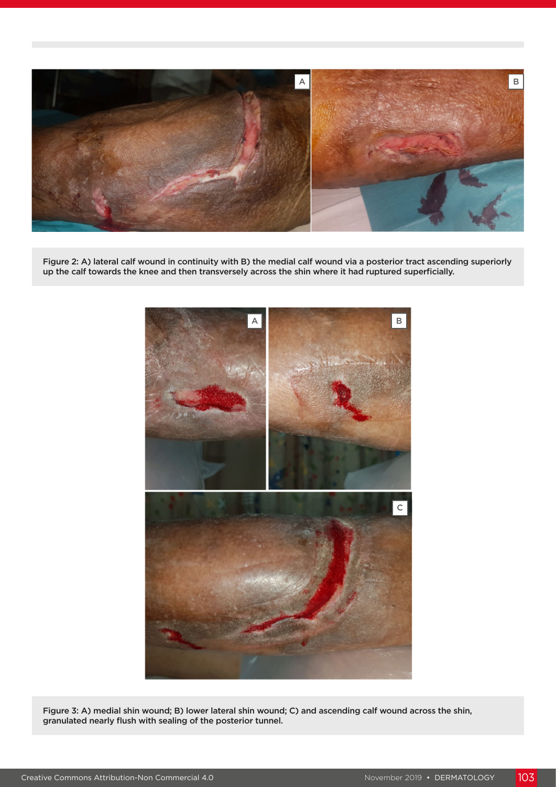

Figure 2: A) lateral calf wound in continuity with B) the medial calf wound via a posterior tract ascending superiorly up the calf towards the knee and then transversely across the shin where it had ruptured superficially.



Figure 3: A) medial shin wound; B) lower lateral shin wound; C) and ascending calf wound across the shin, granulated nearly flush with sealing of the posterior tunnel.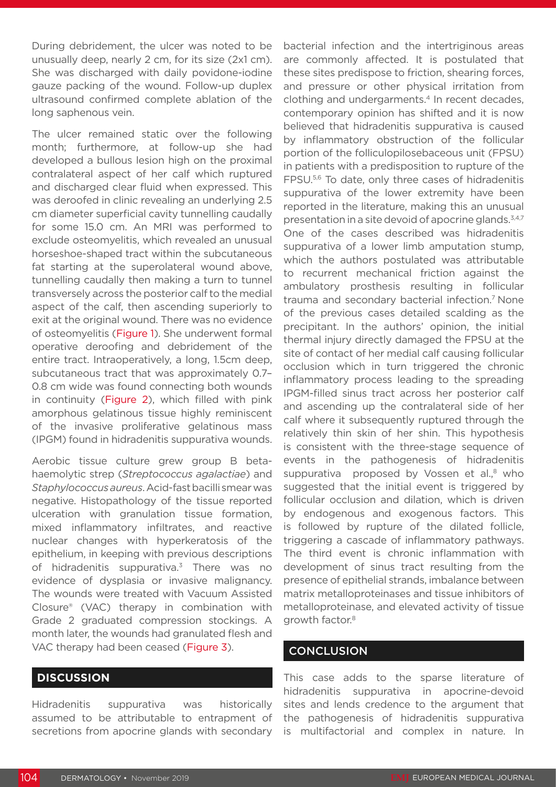During debridement, the ulcer was noted to be unusually deep, nearly 2 cm, for its size (2x1 cm). She was discharged with daily povidone-iodine gauze packing of the wound. Follow-up duplex ultrasound confirmed complete ablation of the long saphenous vein.

The ulcer remained static over the following month; furthermore, at follow-up she had developed a bullous lesion high on the proximal contralateral aspect of her calf which ruptured and discharged clear fluid when expressed. This was deroofed in clinic revealing an underlying 2.5 cm diameter superficial cavity tunnelling caudally for some 15.0 cm. An MRI was performed to exclude osteomyelitis, which revealed an unusual horseshoe-shaped tract within the subcutaneous fat starting at the superolateral wound above, tunnelling caudally then making a turn to tunnel transversely across the posterior calf to the medial aspect of the calf, then ascending superiorly to exit at the original wound. There was no evidence of osteomyelitis (Figure 1). She underwent formal operative deroofing and debridement of the entire tract. Intraoperatively, a long, 1.5cm deep, subcutaneous tract that was approximately 0.7– 0.8 cm wide was found connecting both wounds in continuity (Figure 2), which filled with pink amorphous gelatinous tissue highly reminiscent of the invasive proliferative gelatinous mass (IPGM) found in hidradenitis suppurativa wounds.

Aerobic tissue culture grew group B betahaemolytic strep (*Streptococcus agalactiae*) and *Staphylococcus aureus*. Acid-fast bacilli smear was negative. Histopathology of the tissue reported ulceration with granulation tissue formation, mixed inflammatory infiltrates, and reactive nuclear changes with hyperkeratosis of the epithelium, in keeping with previous descriptions of hidradenitis suppurativa.<sup>3</sup> There was no evidence of dysplasia or invasive malignancy. The wounds were treated with Vacuum Assisted Closure® (VAC) therapy in combination with Grade 2 graduated compression stockings. A month later, the wounds had granulated flesh and VAC therapy had been ceased (Figure 3).

#### **DISCUSSION**

Hidradenitis suppurativa was historically assumed to be attributable to entrapment of secretions from apocrine glands with secondary bacterial infection and the intertriginous areas are commonly affected. It is postulated that these sites predispose to friction, shearing forces, and pressure or other physical irritation from clothing and undergarments.<sup>4</sup> In recent decades, contemporary opinion has shifted and it is now believed that hidradenitis suppurativa is caused by inflammatory obstruction of the follicular portion of the folliculopilosebaceous unit (FPSU) in patients with a predisposition to rupture of the FPSU.<sup>5,6</sup> To date, only three cases of hidradenitis suppurativa of the lower extremity have been reported in the literature, making this an unusual presentation in a site devoid of apocrine glands.<sup>3,4,7</sup> One of the cases described was hidradenitis suppurativa of a lower limb amputation stump, which the authors postulated was attributable to recurrent mechanical friction against the ambulatory prosthesis resulting in follicular trauma and secondary bacterial infection.<sup>7</sup> None of the previous cases detailed scalding as the precipitant. In the authors' opinion, the initial thermal injury directly damaged the FPSU at the site of contact of her medial calf causing follicular occlusion which in turn triggered the chronic inflammatory process leading to the spreading IPGM-filled sinus tract across her posterior calf and ascending up the contralateral side of her calf where it subsequently ruptured through the relatively thin skin of her shin. This hypothesis is consistent with the three-stage sequence of events in the pathogenesis of hidradenitis suppurativa proposed by Vossen et al.,<sup>8</sup> who suggested that the initial event is triggered by follicular occlusion and dilation, which is driven by endogenous and exogenous factors. This is followed by rupture of the dilated follicle, triggering a cascade of inflammatory pathways. The third event is chronic inflammation with development of sinus tract resulting from the presence of epithelial strands, imbalance between matrix metalloproteinases and tissue inhibitors of metalloproteinase, and elevated activity of tissue growth factor.8

#### **CONCLUSION**

This case adds to the sparse literature of hidradenitis suppurativa in apocrine-devoid sites and lends credence to the argument that the pathogenesis of hidradenitis suppurativa is multifactorial and complex in nature. In